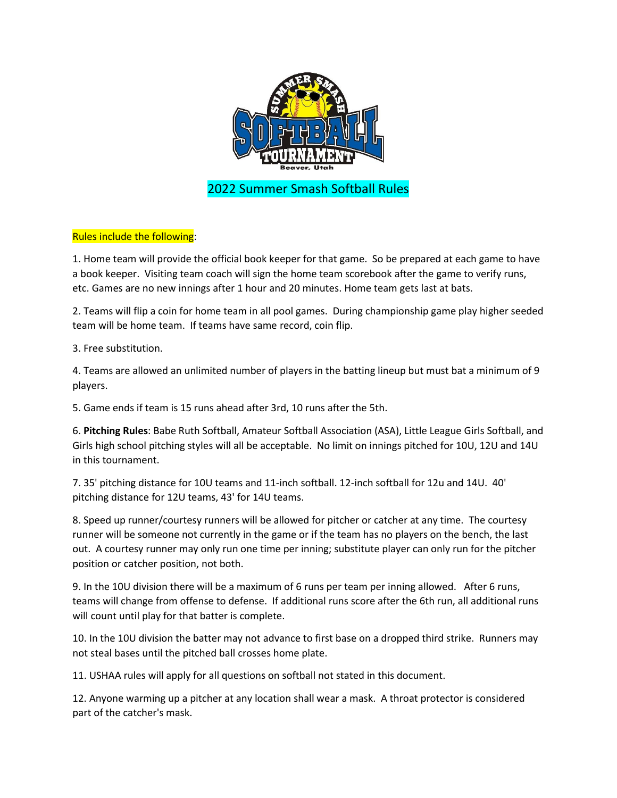

# Rules include the following:

1. Home team will provide the official book keeper for that game. So be prepared at each game to have a book keeper. Visiting team coach will sign the home team scorebook after the game to verify runs, etc. Games are no new innings after 1 hour and 20 minutes. Home team gets last at bats.

2. Teams will flip a coin for home team in all pool games. During championship game play higher seeded team will be home team. If teams have same record, coin flip.

3. Free substitution.

4. Teams are allowed an unlimited number of players in the batting lineup but must bat a minimum of 9 players.

5. Game ends if team is 15 runs ahead after 3rd, 10 runs after the 5th.

6. **Pitching Rules**: Babe Ruth Softball, Amateur Softball Association (ASA), Little League Girls Softball, and Girls high school pitching styles will all be acceptable. No limit on innings pitched for 10U, 12U and 14U in this tournament.

7. 35' pitching distance for 10U teams and 11-inch softball. 12-inch softball for 12u and 14U. 40' pitching distance for 12U teams, 43' for 14U teams.

8. Speed up runner/courtesy runners will be allowed for pitcher or catcher at any time. The courtesy runner will be someone not currently in the game or if the team has no players on the bench, the last out. A courtesy runner may only run one time per inning; substitute player can only run for the pitcher position or catcher position, not both.

9. In the 10U division there will be a maximum of 6 runs per team per inning allowed. After 6 runs, teams will change from offense to defense. If additional runs score after the 6th run, all additional runs will count until play for that batter is complete.

10. In the 10U division the batter may not advance to first base on a dropped third strike. Runners may not steal bases until the pitched ball crosses home plate.

11. USHAA rules will apply for all questions on softball not stated in this document.

12. Anyone warming up a pitcher at any location shall wear a mask. A throat protector is considered part of the catcher's mask.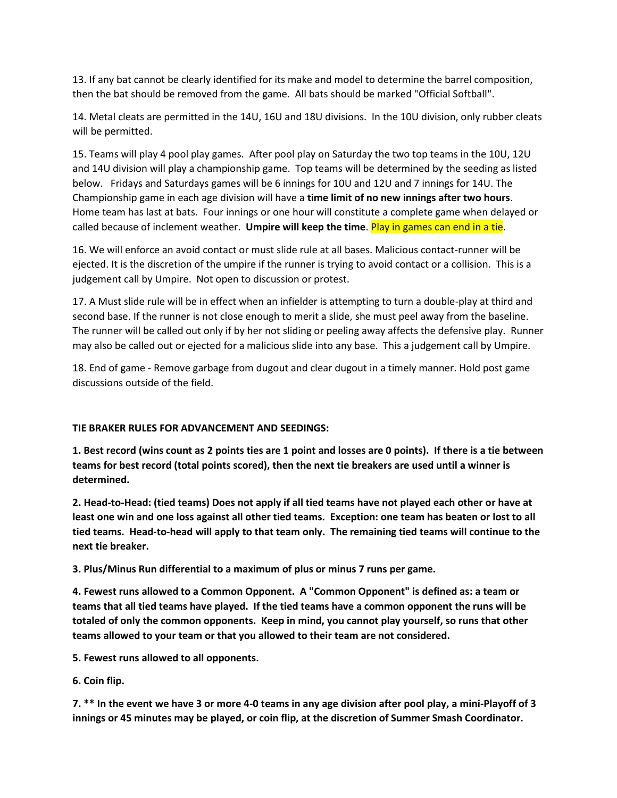13. If any bat cannot be clearly identified for its make and model to determine the barrel composition, then the bat should be removed from the game. All bats should be marked "Official Softball".

14. Metal cleats are permitted in the 14U, 16U and 18U divisions. In the 10U division, only rubber cleats will be permitted.

15. Teams will play 4 pool play games. After pool play on Saturday the two top teams in the 10U, 12U and 14U division will play a championship game. Top teams will be determined by the seeding as listed below. Fridays and Saturdays games will be 6 innings for 10U and 12U and 7 innings for 14U. The Championship game in each age division will have a **time limit of no new innings after two hours**. Home team has last at bats. Four innings or one hour will constitute a complete game when delayed or called because of inclement weather. **Umpire will keep the time**. Play in games can end in a tie.

16. We will enforce an avoid contact or must slide rule at all bases. Malicious contact-runner will be ejected. It is the discretion of the umpire if the runner is trying to avoid contact or a collision. This is a judgement call by Umpire. Not open to discussion or protest.

17. A Must slide rule will be in effect when an infielder is attempting to turn a double-play at third and second base. If the runner is not close enough to merit a slide, she must peel away from the baseline. The runner will be called out only if by her not sliding or peeling away affects the defensive play. Runner may also be called out or ejected for a malicious slide into any base. This a judgement call by Umpire.

18. End of game - Remove garbage from dugout and clear dugout in a timely manner. Hold post game discussions outside of the field.

## **TIE BRAKER RULES FOR ADVANCEMENT AND SEEDINGS:**

**1. Best record (wins count as 2 points ties are 1 point and losses are 0 points). If there is a tie between teams for best record (total points scored), then the next tie breakers are used until a winner is determined.**

**2. Head-to-Head: (tied teams) Does not apply if all tied teams have not played each other or have at least one win and one loss against all other tied teams. Exception: one team has beaten or lost to all tied teams. Head-to-head will apply to that team only. The remaining tied teams will continue to the next tie breaker.**

**3. Plus/Minus Run differential to a maximum of plus or minus 7 runs per game.**

**4. Fewest runs allowed to a Common Opponent. A "Common Opponent" is defined as: a team or teams that all tied teams have played. If the tied teams have a common opponent the runs will be totaled of only the common opponents. Keep in mind, you cannot play yourself, so runs that other teams allowed to your team or that you allowed to their team are not considered.**

**5. Fewest runs allowed to all opponents.** 

**6. Coin flip.**

**7. \*\* In the event we have 3 or more 4-0 teams in any age division after pool play, a mini-Playoff of 3 innings or 45 minutes may be played, or coin flip, at the discretion of Summer Smash Coordinator.**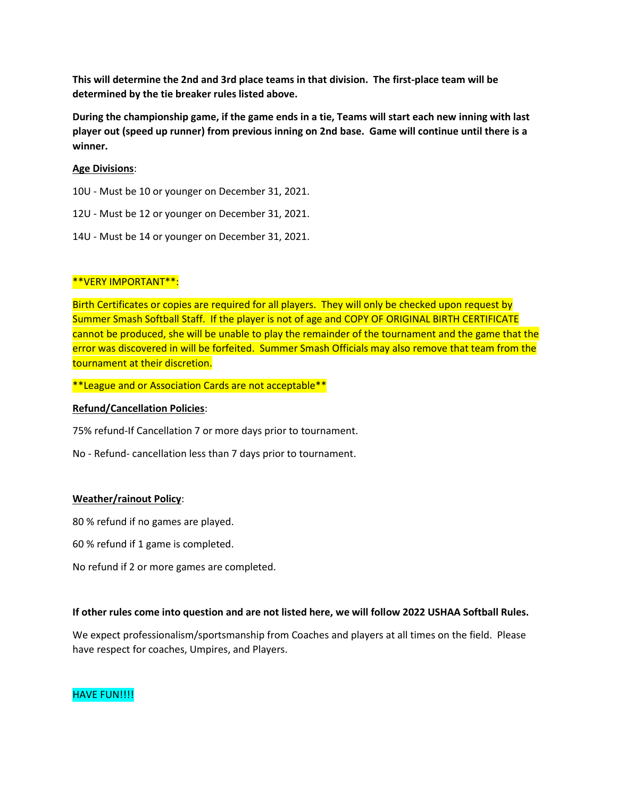**This will determine the 2nd and 3rd place teams in that division. The first-place team will be determined by the tie breaker rules listed above.** 

**During the championship game, if the game ends in a tie, Teams will start each new inning with last player out (speed up runner) from previous inning on 2nd base. Game will continue until there is a winner.**

## **Age Divisions**:

10U - Must be 10 or younger on December 31, 2021.

- 12U Must be 12 or younger on December 31, 2021.
- 14U Must be 14 or younger on December 31, 2021.

## \*\*VERY IMPORTANT\*\*:

Birth Certificates or copies are required for all players. They will only be checked upon request by Summer Smash Softball Staff. If the player is not of age and COPY OF ORIGINAL BIRTH CERTIFICATE cannot be produced, she will be unable to play the remainder of the tournament and the game that the error was discovered in will be forfeited. Summer Smash Officials may also remove that team from the tournament at their discretion.

\*\*League and or Association Cards are not acceptable\*\*

### **Refund/Cancellation Policies**:

75% refund-If Cancellation 7 or more days prior to tournament.

No - Refund- cancellation less than 7 days prior to tournament.

### **Weather/rainout Policy**:

80 % refund if no games are played.

60 % refund if 1 game is completed.

No refund if 2 or more games are completed.

### **If other rules come into question and are not listed here, we will follow 2022 USHAA Softball Rules.**

We expect professionalism/sportsmanship from Coaches and players at all times on the field. Please have respect for coaches, Umpires, and Players.

## HAVE FUN!!!!